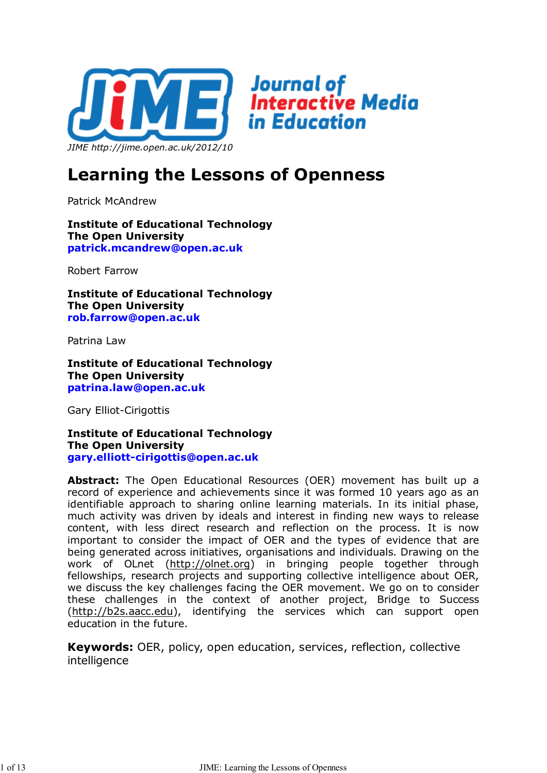

# **Learning the Lessons of Openness**

Patrick McAndrew

**Institute of Educational Technology The Open University patrick.mcandrew@open.ac.uk**

Robert Farrow

**Institute of Educational Technology The Open University rob.farrow@open.ac.uk**

Patrina Law

**Institute of Educational Technology The Open University patrina.law@open.ac.uk**

Gary Elliot-Cirigottis

**Institute of Educational Technology The Open University gary.elliott-cirigottis@open.ac.uk**

**Abstract:** The Open Educational Resources (OER) movement has built up a record of experience and achievements since it was formed 10 years ago as an identifiable approach to sharing online learning materials. In its initial phase, much activity was driven by ideals and interest in finding new ways to release content, with less direct research and reflection on the process. It is now important to consider the impact of OER and the types of evidence that are being generated across initiatives, organisations and individuals. Drawing on the work of OLnet (http://olnet.org) in bringing people together through fellowships, research projects and supporting collective intelligence about OER, we discuss the key challenges facing the OER movement. We go on to consider these challenges in the context of another project, Bridge to Success (http://b2s.aacc.edu), identifying the services which can support open education in the future.

**Keywords:** OER, policy, open education, services, reflection, collective intelligence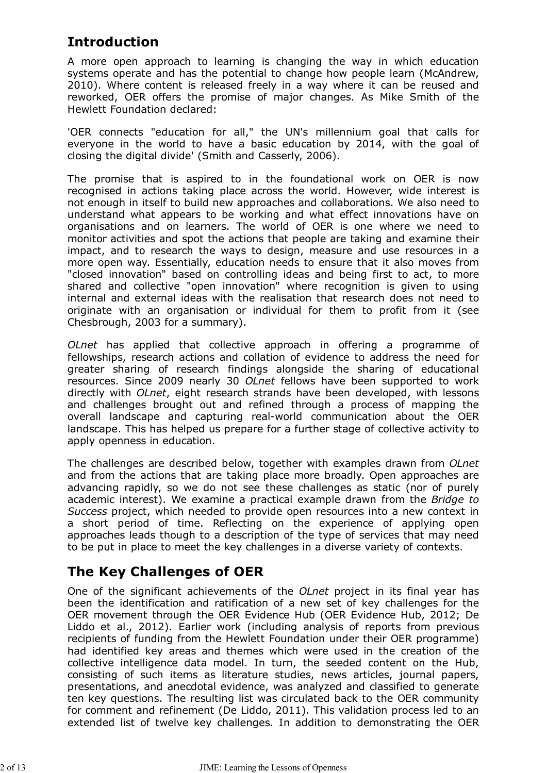# **Introduction**

A more open approach to learning is changing the way in which education systems operate and has the potential to change how people learn (McAndrew, 2010). Where content is released freely in a way where it can be reused and reworked, OER offers the promise of major changes. As Mike Smith of the Hewlett Foundation declared:

'OER connects "education for all," the UN's millennium goal that calls for everyone in the world to have a basic education by 2014, with the goal of closing the digital divide' (Smith and Casserly, 2006).

The promise that is aspired to in the foundational work on OER is now recognised in actions taking place across the world. However, wide interest is not enough in itself to build new approaches and collaborations. We also need to understand what appears to be working and what effect innovations have on organisations and on learners. The world of OER is one where we need to monitor activities and spot the actions that people are taking and examine their impact, and to research the ways to design, measure and use resources in a more open way. Essentially, education needs to ensure that it also moves from "closed innovation" based on controlling ideas and being first to act, to more shared and collective "open innovation" where recognition is given to using internal and external ideas with the realisation that research does not need to originate with an organisation or individual for them to profit from it (see Chesbrough, 2003 for a summary).

*OLnet* has applied that collective approach in offering a programme of fellowships, research actions and collation of evidence to address the need for greater sharing of research findings alongside the sharing of educational resources. Since 2009 nearly 30 *OLnet* fellows have been supported to work directly with *OLnet*, eight research strands have been developed, with lessons and challenges brought out and refined through a process of mapping the overall landscape and capturing real-world communication about the OER landscape. This has helped us prepare for a further stage of collective activity to apply openness in education.

The challenges are described below, together with examples drawn from *OLnet* and from the actions that are taking place more broadly. Open approaches are advancing rapidly, so we do not see these challenges as static (nor of purely academic interest). We examine a practical example drawn from the *Bridge to Success* project, which needed to provide open resources into a new context in a short period of time. Reflecting on the experience of applying open approaches leads though to a description of the type of services that may need to be put in place to meet the key challenges in a diverse variety of contexts.

## **The Key Challenges of OER**

One of the significant achievements of the *OLnet* project in its final year has been the identification and ratification of a new set of key challenges for the OER movement through the OER Evidence Hub (OER Evidence Hub, 2012; De Liddo et al., 2012). Earlier work (including analysis of reports from previous recipients of funding from the Hewlett Foundation under their OER programme) had identified key areas and themes which were used in the creation of the collective intelligence data model. In turn, the seeded content on the Hub, consisting of such items as literature studies, news articles, journal papers, presentations, and anecdotal evidence, was analyzed and classified to generate ten key questions. The resulting list was circulated back to the OER community for comment and refinement (De Liddo, 2011). This validation process led to an extended list of twelve key challenges. In addition to demonstrating the OER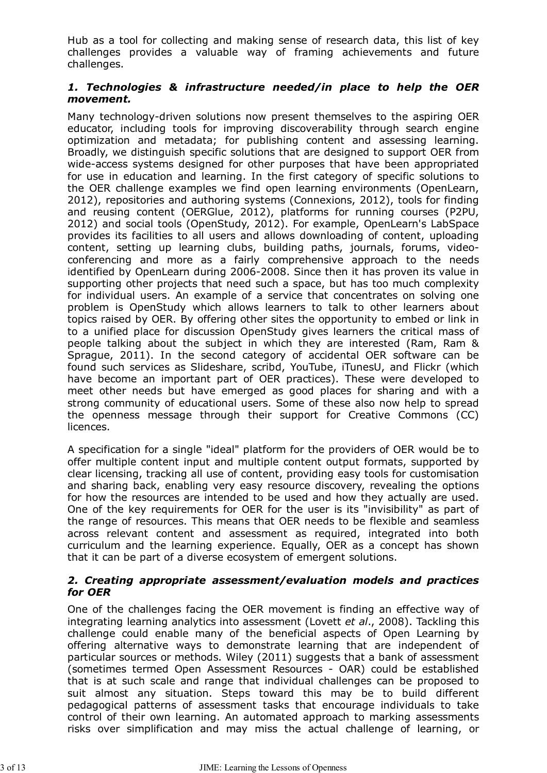Hub as a tool for collecting and making sense of research data, this list of key challenges provides a valuable way of framing achievements and future challenges.

#### *1. Technologies & infrastructure needed/in place to help the OER movement.*

Many technology-driven solutions now present themselves to the aspiring OER educator, including tools for improving discoverability through search engine optimization and metadata; for publishing content and assessing learning. Broadly, we distinguish specific solutions that are designed to support OER from wide-access systems designed for other purposes that have been appropriated for use in education and learning. In the first category of specific solutions to the OER challenge examples we find open learning environments (OpenLearn, 2012), repositories and authoring systems (Connexions, 2012), tools for finding and reusing content (OERGlue, 2012), platforms for running courses (P2PU, 2012) and social tools (OpenStudy, 2012). For example, OpenLearn's LabSpace provides its facilities to all users and allows downloading of content, uploading content, setting up learning clubs, building paths, journals, forums, videoconferencing and more as a fairly comprehensive approach to the needs identified by OpenLearn during 2006-2008. Since then it has proven its value in supporting other projects that need such a space, but has too much complexity for individual users. An example of a service that concentrates on solving one problem is OpenStudy which allows learners to talk to other learners about topics raised by OER. By offering other sites the opportunity to embed or link in to a unified place for discussion OpenStudy gives learners the critical mass of people talking about the subject in which they are interested (Ram, Ram & Sprague, 2011). In the second category of accidental OER software can be found such services as Slideshare, scribd, YouTube, iTunesU, and Flickr (which have become an important part of OER practices). These were developed to meet other needs but have emerged as good places for sharing and with a strong community of educational users. Some of these also now help to spread the openness message through their support for Creative Commons (CC) licences.

A specification for a single "ideal" platform for the providers of OER would be to offer multiple content input and multiple content output formats, supported by clear licensing, tracking all use of content, providing easy tools for customisation and sharing back, enabling very easy resource discovery, revealing the options for how the resources are intended to be used and how they actually are used. One of the key requirements for OER for the user is its "invisibility" as part of the range of resources. This means that OER needs to be flexible and seamless across relevant content and assessment as required, integrated into both curriculum and the learning experience. Equally, OER as a concept has shown that it can be part of a diverse ecosystem of emergent solutions.

#### *2. Creating appropriate assessment/evaluation models and practices for OER*

One of the challenges facing the OER movement is finding an effective way of integrating learning analytics into assessment (Lovett *et al*., 2008). Tackling this challenge could enable many of the beneficial aspects of Open Learning by offering alternative ways to demonstrate learning that are independent of particular sources or methods. Wiley (2011) suggests that a bank of assessment (sometimes termed Open Assessment Resources - OAR) could be established that is at such scale and range that individual challenges can be proposed to suit almost any situation. Steps toward this may be to build different pedagogical patterns of assessment tasks that encourage individuals to take control of their own learning. An automated approach to marking assessments risks over simplification and may miss the actual challenge of learning, or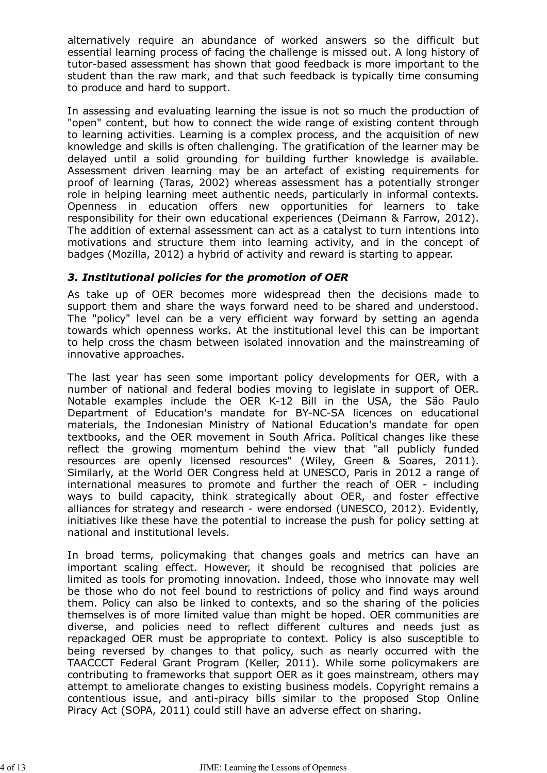alternatively require an abundance of worked answers so the difficult but essential learning process of facing the challenge is missed out. A long history of tutor-based assessment has shown that good feedback is more important to the student than the raw mark, and that such feedback is typically time consuming to produce and hard to support.

In assessing and evaluating learning the issue is not so much the production of "open" content, but how to connect the wide range of existing content through to learning activities. Learning is a complex process, and the acquisition of new knowledge and skills is often challenging. The gratification of the learner may be delayed until a solid grounding for building further knowledge is available. Assessment driven learning may be an artefact of existing requirements for proof of learning (Taras, 2002) whereas assessment has a potentially stronger role in helping learning meet authentic needs, particularly in informal contexts. Openness in education offers new opportunities for learners to take responsibility for their own educational experiences (Deimann & Farrow, 2012). The addition of external assessment can act as a catalyst to turn intentions into motivations and structure them into learning activity, and in the concept of badges (Mozilla, 2012) a hybrid of activity and reward is starting to appear.

#### *3. Institutional policies for the promotion of OER*

As take up of OER becomes more widespread then the decisions made to support them and share the ways forward need to be shared and understood. The "policy" level can be a very efficient way forward by setting an agenda towards which openness works. At the institutional level this can be important to help cross the chasm between isolated innovation and the mainstreaming of innovative approaches.

The last year has seen some important policy developments for OER, with a number of national and federal bodies moving to legislate in support of OER. Notable examples include the OER K-12 Bill in the USA, the São Paulo Department of Education's mandate for BY-NC-SA licences on educational materials, the Indonesian Ministry of National Education's mandate for open textbooks, and the OER movement in South Africa. Political changes like these reflect the growing momentum behind the view that "all publicly funded resources are openly licensed resources" (Wiley, Green & Soares, 2011). Similarly, at the World OER Congress held at UNESCO, Paris in 2012 a range of international measures to promote and further the reach of OER - including ways to build capacity, think strategically about OER, and foster effective alliances for strategy and research - were endorsed (UNESCO, 2012). Evidently, initiatives like these have the potential to increase the push for policy setting at national and institutional levels.

In broad terms, policymaking that changes goals and metrics can have an important scaling effect. However, it should be recognised that policies are limited as tools for promoting innovation. Indeed, those who innovate may well be those who do not feel bound to restrictions of policy and find ways around them. Policy can also be linked to contexts, and so the sharing of the policies themselves is of more limited value than might be hoped. OER communities are diverse, and policies need to reflect different cultures and needs just as repackaged OER must be appropriate to context. Policy is also susceptible to being reversed by changes to that policy, such as nearly occurred with the TAACCCT Federal Grant Program (Keller, 2011). While some policymakers are contributing to frameworks that support OER as it goes mainstream, others may attempt to ameliorate changes to existing business models. Copyright remains a contentious issue, and anti-piracy bills similar to the proposed Stop Online Piracy Act (SOPA, 2011) could still have an adverse effect on sharing.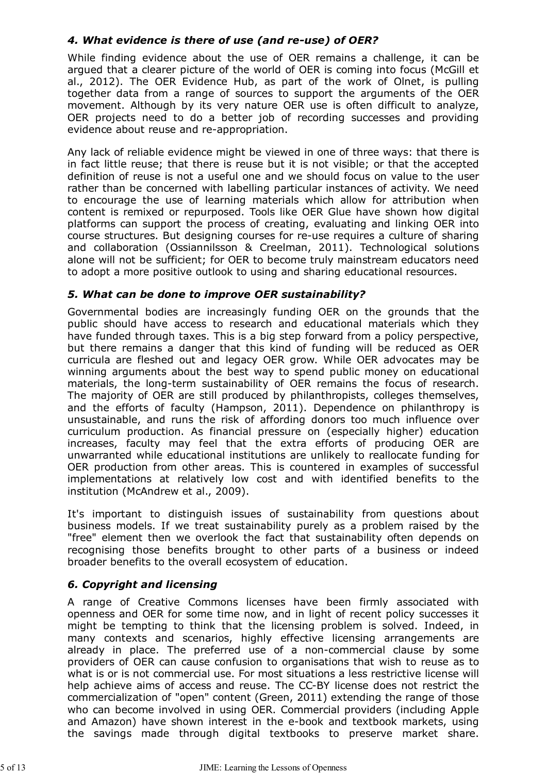#### *4. What evidence is there of use (and re-use) of OER?*

While finding evidence about the use of OER remains a challenge, it can be argued that a clearer picture of the world of OER is coming into focus (McGill et al., 2012). The OER Evidence Hub, as part of the work of Olnet, is pulling together data from a range of sources to support the arguments of the OER movement. Although by its very nature OER use is often difficult to analyze, OER projects need to do a better job of recording successes and providing evidence about reuse and re-appropriation.

Any lack of reliable evidence might be viewed in one of three ways: that there is in fact little reuse; that there is reuse but it is not visible; or that the accepted definition of reuse is not a useful one and we should focus on value to the user rather than be concerned with labelling particular instances of activity. We need to encourage the use of learning materials which allow for attribution when content is remixed or repurposed. Tools like OER Glue have shown how digital platforms can support the process of creating, evaluating and linking OER into course structures. But designing courses for re-use requires a culture of sharing and collaboration (Ossiannilsson & Creelman, 2011). Technological solutions alone will not be sufficient; for OER to become truly mainstream educators need to adopt a more positive outlook to using and sharing educational resources.

#### *5. What can be done to improve OER sustainability?*

Governmental bodies are increasingly funding OER on the grounds that the public should have access to research and educational materials which they have funded through taxes. This is a big step forward from a policy perspective, but there remains a danger that this kind of funding will be reduced as OER curricula are fleshed out and legacy OER grow. While OER advocates may be winning arguments about the best way to spend public money on educational materials, the long-term sustainability of OER remains the focus of research. The majority of OER are still produced by philanthropists, colleges themselves, and the efforts of faculty (Hampson, 2011). Dependence on philanthropy is unsustainable, and runs the risk of affording donors too much influence over curriculum production. As financial pressure on (especially higher) education increases, faculty may feel that the extra efforts of producing OER are unwarranted while educational institutions are unlikely to reallocate funding for OER production from other areas. This is countered in examples of successful implementations at relatively low cost and with identified benefits to the institution (McAndrew et al., 2009).

It's important to distinguish issues of sustainability from questions about business models. If we treat sustainability purely as a problem raised by the "free" element then we overlook the fact that sustainability often depends on recognising those benefits brought to other parts of a business or indeed broader benefits to the overall ecosystem of education.

#### *6. Copyright and licensing*

A range of Creative Commons licenses have been firmly associated with openness and OER for some time now, and in light of recent policy successes it might be tempting to think that the licensing problem is solved. Indeed, in many contexts and scenarios, highly effective licensing arrangements are already in place. The preferred use of a non-commercial clause by some providers of OER can cause confusion to organisations that wish to reuse as to what is or is not commercial use. For most situations a less restrictive license will help achieve aims of access and reuse. The CC-BY license does not restrict the commercialization of "open" content (Green, 2011) extending the range of those who can become involved in using OER. Commercial providers (including Apple and Amazon) have shown interest in the e-book and textbook markets, using the savings made through digital textbooks to preserve market share.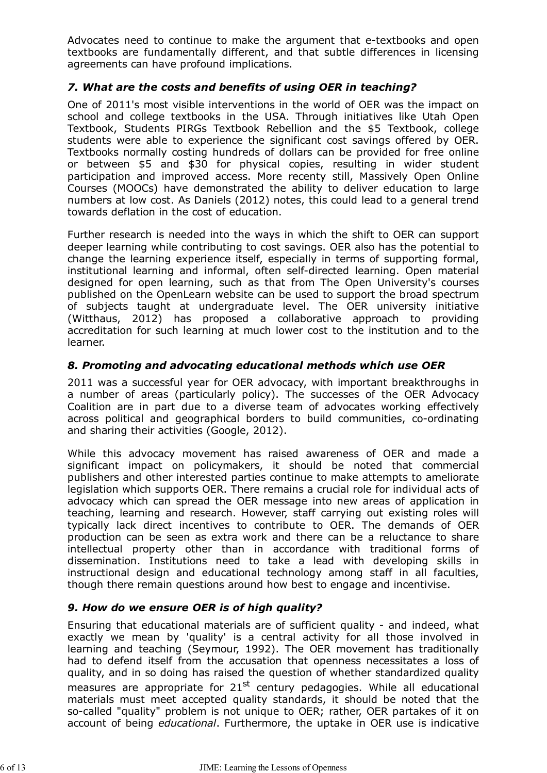Advocates need to continue to make the argument that e-textbooks and open textbooks are fundamentally different, and that subtle differences in licensing agreements can have profound implications.

#### *7. What are the costs and benefits of using OER in teaching?*

One of 2011's most visible interventions in the world of OER was the impact on school and college textbooks in the USA. Through initiatives like Utah Open Textbook, Students PIRGs Textbook Rebellion and the \$5 Textbook, college students were able to experience the significant cost savings offered by OER. Textbooks normally costing hundreds of dollars can be provided for free online or between \$5 and \$30 for physical copies, resulting in wider student participation and improved access. More recenty still, Massively Open Online Courses (MOOCs) have demonstrated the ability to deliver education to large numbers at low cost. As Daniels (2012) notes, this could lead to a general trend towards deflation in the cost of education.

Further research is needed into the ways in which the shift to OER can support deeper learning while contributing to cost savings. OER also has the potential to change the learning experience itself, especially in terms of supporting formal, institutional learning and informal, often self-directed learning. Open material designed for open learning, such as that from The Open University's courses published on the OpenLearn website can be used to support the broad spectrum of subjects taught at undergraduate level. The OER university initiative (Witthaus, 2012) has proposed a collaborative approach to providing accreditation for such learning at much lower cost to the institution and to the learner.

#### *8. Promoting and advocating educational methods which use OER*

2011 was a successful year for OER advocacy, with important breakthroughs in a number of areas (particularly policy). The successes of the OER Advocacy Coalition are in part due to a diverse team of advocates working effectively across political and geographical borders to build communities, co-ordinating and sharing their activities (Google, 2012).

While this advocacy movement has raised awareness of OER and made a significant impact on policymakers, it should be noted that commercial publishers and other interested parties continue to make attempts to ameliorate legislation which supports OER. There remains a crucial role for individual acts of advocacy which can spread the OER message into new areas of application in teaching, learning and research. However, staff carrying out existing roles will typically lack direct incentives to contribute to OER. The demands of OER production can be seen as extra work and there can be a reluctance to share intellectual property other than in accordance with traditional forms of dissemination. Institutions need to take a lead with developing skills in instructional design and educational technology among staff in all faculties, though there remain questions around how best to engage and incentivise.

#### *9. How do we ensure OER is of high quality?*

Ensuring that educational materials are of sufficient quality - and indeed, what exactly we mean by 'quality' is a central activity for all those involved in learning and teaching (Seymour, 1992). The OER movement has traditionally had to defend itself from the accusation that openness necessitates a loss of quality, and in so doing has raised the question of whether standardized quality measures are appropriate for  $21^{st}$  century pedagogies. While all educational materials must meet accepted quality standards, it should be noted that the so-called "quality" problem is not unique to OER; rather, OER partakes of it on account of being *educational*. Furthermore, the uptake in OER use is indicative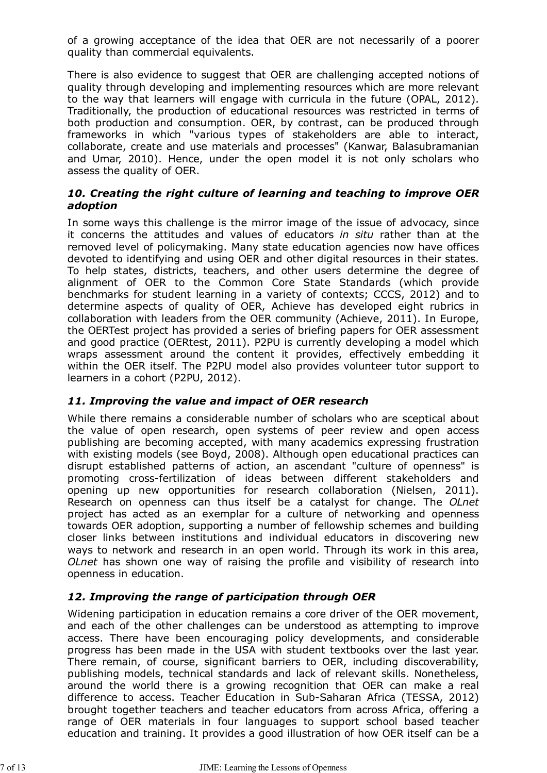of a growing acceptance of the idea that OER are not necessarily of a poorer quality than commercial equivalents.

There is also evidence to suggest that OER are challenging accepted notions of quality through developing and implementing resources which are more relevant to the way that learners will engage with curricula in the future (OPAL, 2012). Traditionally, the production of educational resources was restricted in terms of both production and consumption. OER, by contrast, can be produced through frameworks in which "various types of stakeholders are able to interact, collaborate, create and use materials and processes" (Kanwar, Balasubramanian and Umar, 2010). Hence, under the open model it is not only scholars who assess the quality of OER.

#### *10. Creating the right culture of learning and teaching to improve OER adoption*

In some ways this challenge is the mirror image of the issue of advocacy, since it concerns the attitudes and values of educators *in situ* rather than at the removed level of policymaking. Many state education agencies now have offices devoted to identifying and using OER and other digital resources in their states. To help states, districts, teachers, and other users determine the degree of alignment of OER to the Common Core State Standards (which provide benchmarks for student learning in a variety of contexts; CCCS, 2012) and to determine aspects of quality of OER, Achieve has developed eight rubrics in collaboration with leaders from the OER community (Achieve, 2011). In Europe, the OERTest project has provided a series of briefing papers for OER assessment and good practice (OERtest, 2011). P2PU is currently developing a model which wraps assessment around the content it provides, effectively embedding it within the OER itself. The P2PU model also provides volunteer tutor support to learners in a cohort (P2PU, 2012).

#### *11. Improving the value and impact of OER research*

While there remains a considerable number of scholars who are sceptical about the value of open research, open systems of peer review and open access publishing are becoming accepted, with many academics expressing frustration with existing models (see Boyd, 2008). Although open educational practices can disrupt established patterns of action, an ascendant "culture of openness" is promoting cross-fertilization of ideas between different stakeholders and opening up new opportunities for research collaboration (Nielsen, 2011). Research on openness can thus itself be a catalyst for change. The *OLnet* project has acted as an exemplar for a culture of networking and openness towards OER adoption, supporting a number of fellowship schemes and building closer links between institutions and individual educators in discovering new ways to network and research in an open world. Through its work in this area, *OLnet* has shown one way of raising the profile and visibility of research into openness in education.

#### *12. Improving the range of participation through OER*

Widening participation in education remains a core driver of the OER movement, and each of the other challenges can be understood as attempting to improve access. There have been encouraging policy developments, and considerable progress has been made in the USA with student textbooks over the last year. There remain, of course, significant barriers to OER, including discoverability, publishing models, technical standards and lack of relevant skills. Nonetheless, around the world there is a growing recognition that OER can make a real difference to access. Teacher Education in Sub-Saharan Africa (TESSA, 2012) brought together teachers and teacher educators from across Africa, offering a range of OER materials in four languages to support school based teacher education and training. It provides a good illustration of how OER itself can be a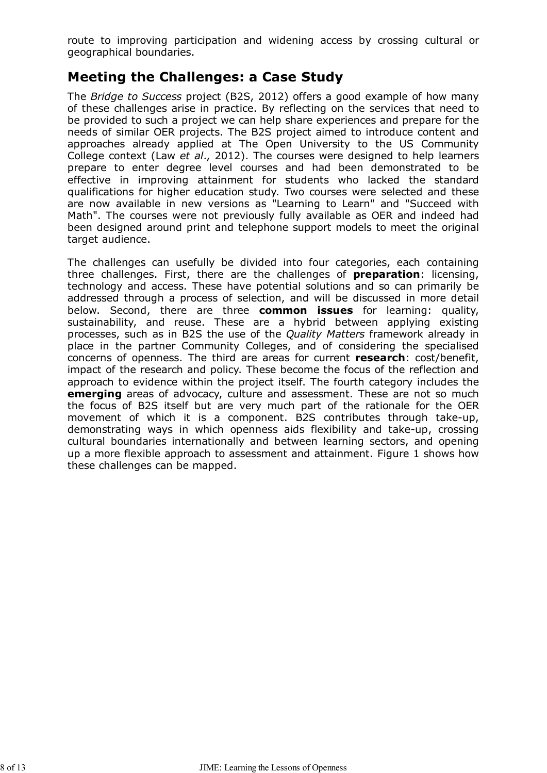route to improving participation and widening access by crossing cultural or geographical boundaries.

### **Meeting the Challenges: a Case Study**

The *Bridge to Success* project (B2S, 2012) offers a good example of how many of these challenges arise in practice. By reflecting on the services that need to be provided to such a project we can help share experiences and prepare for the needs of similar OER projects. The B2S project aimed to introduce content and approaches already applied at The Open University to the US Community College context (Law *et al*., 2012). The courses were designed to help learners prepare to enter degree level courses and had been demonstrated to be effective in improving attainment for students who lacked the standard qualifications for higher education study. Two courses were selected and these are now available in new versions as "Learning to Learn" and "Succeed with Math". The courses were not previously fully available as OER and indeed had been designed around print and telephone support models to meet the original target audience.

The challenges can usefully be divided into four categories, each containing three challenges. First, there are the challenges of **preparation**: licensing, technology and access. These have potential solutions and so can primarily be addressed through a process of selection, and will be discussed in more detail below. Second, there are three **common issues** for learning: quality, sustainability, and reuse. These are a hybrid between applying existing processes, such as in B2S the use of the *Quality Matters* framework already in place in the partner Community Colleges, and of considering the specialised concerns of openness. The third are areas for current **research**: cost/benefit, impact of the research and policy. These become the focus of the reflection and approach to evidence within the project itself. The fourth category includes the **emerging** areas of advocacy, culture and assessment. These are not so much the focus of B2S itself but are very much part of the rationale for the OER movement of which it is a component. B2S contributes through take-up, demonstrating ways in which openness aids flexibility and take-up, crossing cultural boundaries internationally and between learning sectors, and opening up a more flexible approach to assessment and attainment. Figure 1 shows how these challenges can be mapped.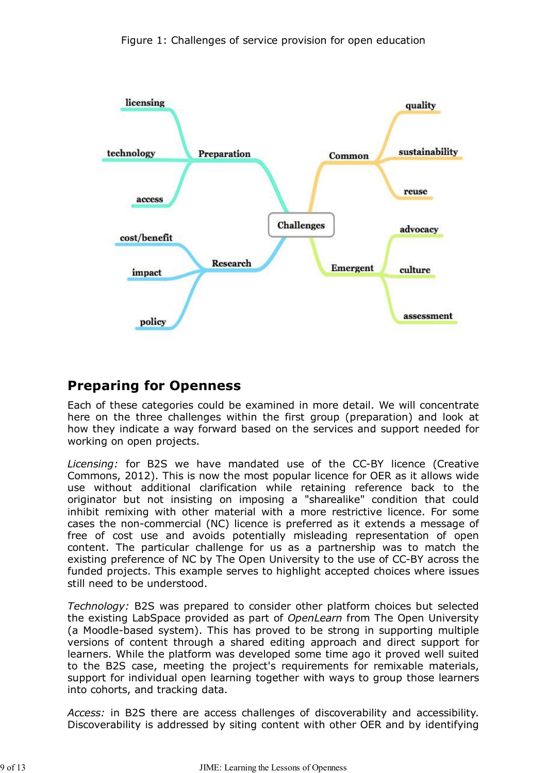

### **Preparing for Openness**

Each of these categories could be examined in more detail. We will concentrate here on the three challenges within the first group (preparation) and look at how they indicate a way forward based on the services and support needed for working on open projects.

*Licensing:* for B2S we have mandated use of the CC-BY licence (Creative Commons, 2012). This is now the most popular licence for OER as it allows wide use without additional clarification while retaining reference back to the originator but not insisting on imposing a "sharealike" condition that could inhibit remixing with other material with a more restrictive licence. For some cases the non-commercial (NC) licence is preferred as it extends a message of free of cost use and avoids potentially misleading representation of open content. The particular challenge for us as a partnership was to match the existing preference of NC by The Open University to the use of CC-BY across the funded projects. This example serves to highlight accepted choices where issues still need to be understood.

*Technology:* B2S was prepared to consider other platform choices but selected the existing LabSpace provided as part of *OpenLearn* from The Open University (a Moodle-based system). This has proved to be strong in supporting multiple versions of content through a shared editing approach and direct support for learners. While the platform was developed some time ago it proved well suited to the B2S case, meeting the project's requirements for remixable materials, support for individual open learning together with ways to group those learners into cohorts, and tracking data.

*Access:* in B2S there are access challenges of discoverability and accessibility. Discoverability is addressed by siting content with other OER and by identifying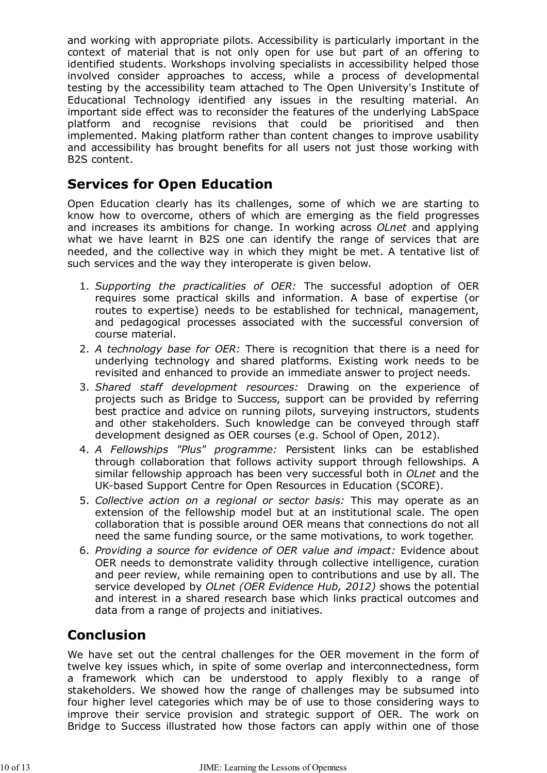and working with appropriate pilots. Accessibility is particularly important in the context of material that is not only open for use but part of an offering to identified students. Workshops involving specialists in accessibility helped those involved consider approaches to access, while a process of developmental testing by the accessibility team attached to The Open University's Institute of Educational Technology identified any issues in the resulting material. An important side effect was to reconsider the features of the underlying LabSpace platform and recognise revisions that could be prioritised and then implemented. Making platform rather than content changes to improve usability and accessibility has brought benefits for all users not just those working with B2S content.

### **Services for Open Education**

Open Education clearly has its challenges, some of which we are starting to know how to overcome, others of which are emerging as the field progresses and increases its ambitions for change. In working across *OLnet* and applying what we have learnt in B2S one can identify the range of services that are needed, and the collective way in which they might be met. A tentative list of such services and the way they interoperate is given below.

- *Supporting the practicalities of OER:* The successful adoption of OER 1. requires some practical skills and information. A base of expertise (or routes to expertise) needs to be established for technical, management, and pedagogical processes associated with the successful conversion of course material.
- *A technology base for OER:* There is recognition that there is a need for 2. underlying technology and shared platforms. Existing work needs to be revisited and enhanced to provide an immediate answer to project needs.
- *Shared staff development resources:* Drawing on the experience of 3. projects such as Bridge to Success, support can be provided by referring best practice and advice on running pilots, surveying instructors, students and other stakeholders. Such knowledge can be conveyed through staff development designed as OER courses (e.g. School of Open, 2012).
- *A Fellowships "Plus" programme:* Persistent links can be established 4. through collaboration that follows activity support through fellowships. A similar fellowship approach has been very successful both in *OLnet* and the UK-based Support Centre for Open Resources in Education (SCORE).
- *Collective action on a regional or sector basis:* This may operate as an 5. extension of the fellowship model but at an institutional scale. The open collaboration that is possible around OER means that connections do not all need the same funding source, or the same motivations, to work together.
- *Providing a source for evidence of OER value and impact:* Evidence about 6. OER needs to demonstrate validity through collective intelligence, curation and peer review, while remaining open to contributions and use by all. The service developed by *OLnet (OER Evidence Hub, 2012)* shows the potential and interest in a shared research base which links practical outcomes and data from a range of projects and initiatives.

# **Conclusion**

We have set out the central challenges for the OER movement in the form of twelve key issues which, in spite of some overlap and interconnectedness, form a framework which can be understood to apply flexibly to a range of stakeholders. We showed how the range of challenges may be subsumed into four higher level categories which may be of use to those considering ways to improve their service provision and strategic support of OER. The work on Bridge to Success illustrated how those factors can apply within one of those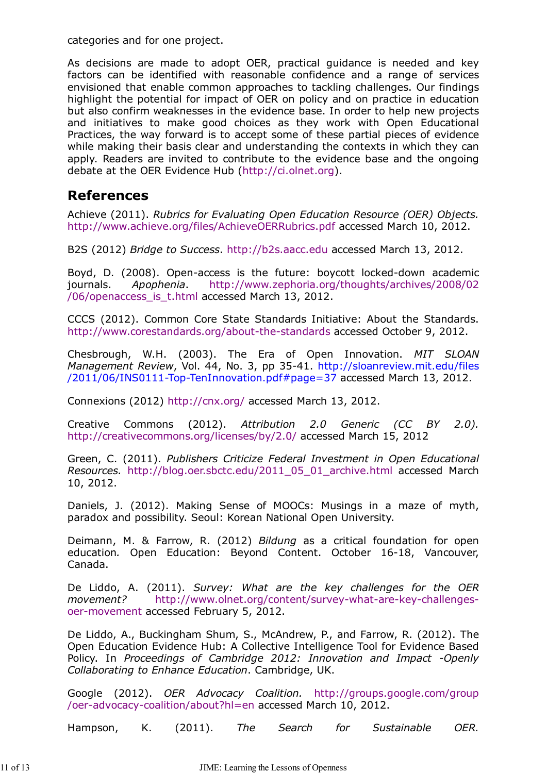categories and for one project.

As decisions are made to adopt OER, practical guidance is needed and key factors can be identified with reasonable confidence and a range of services envisioned that enable common approaches to tackling challenges. Our findings highlight the potential for impact of OER on policy and on practice in education but also confirm weaknesses in the evidence base. In order to help new projects and initiatives to make good choices as they work with Open Educational Practices, the way forward is to accept some of these partial pieces of evidence while making their basis clear and understanding the contexts in which they can apply. Readers are invited to contribute to the evidence base and the ongoing debate at the OER Evidence Hub (http://ci.olnet.org).

### **References**

Achieve (2011). *Rubrics for Evaluating Open Education Resource (OER) Objects.* http://www.achieve.org/files/AchieveOERRubrics.pdf accessed March 10, 2012.

B2S (2012) *Bridge to Success*. http://b2s.aacc.edu accessed March 13, 2012.

Boyd, D. (2008). Open-access is the future: boycott locked-down academic journals. *Apophenia*. http://www.zephoria.org/thoughts/archives/2008/02 /06/openaccess\_is\_t.html accessed March 13, 2012.

CCCS (2012). Common Core State Standards Initiative: About the Standards. http://www.corestandards.org/about-the-standards accessed October 9, 2012.

Chesbrough, W.H. (2003). The Era of Open Innovation. *MIT SLOAN Management Review*, Vol. 44, No. 3, pp 35-41. http://sloanreview.mit.edu/files /2011/06/INS0111-Top-TenInnovation.pdf#page=37 accessed March 13, 2012.

Connexions (2012) http://cnx.org/ accessed March 13, 2012.

Creative Commons (2012). *Attribution 2.0 Generic (CC BY 2.0).* http://creativecommons.org/licenses/by/2.0/ accessed March 15, 2012

Green, C. (2011). *Publishers Criticize Federal Investment in Open Educational Resources.* http://blog.oer.sbctc.edu/2011\_05\_01\_archive.html accessed March 10, 2012.

Daniels, J. (2012). Making Sense of MOOCs: Musings in a maze of myth, paradox and possibility. Seoul: Korean National Open University.

Deimann, M. & Farrow, R. (2012) *Bildung* as a critical foundation for open education*.* Open Education: Beyond Content. October 16-18, Vancouver, Canada.

De Liddo, A. (2011). *Survey: What are the key challenges for the OER movement?* http://www.olnet.org/content/survey-what-are-key-challengesoer-movement accessed February 5, 2012.

De Liddo, A., Buckingham Shum, S., McAndrew, P., and Farrow, R. (2012). The Open Education Evidence Hub: A Collective Intelligence Tool for Evidence Based Policy. In *Proceedings of Cambridge 2012: Innovation and Impact -Openly Collaborating to Enhance Education*. Cambridge, UK.

Google (2012). *OER Advocacy Coalition.* http://groups.google.com/group /oer-advocacy-coalition/about?hl=en accessed March 10, 2012.

Hampson, K. (2011). *The Search for Sustainable OER.*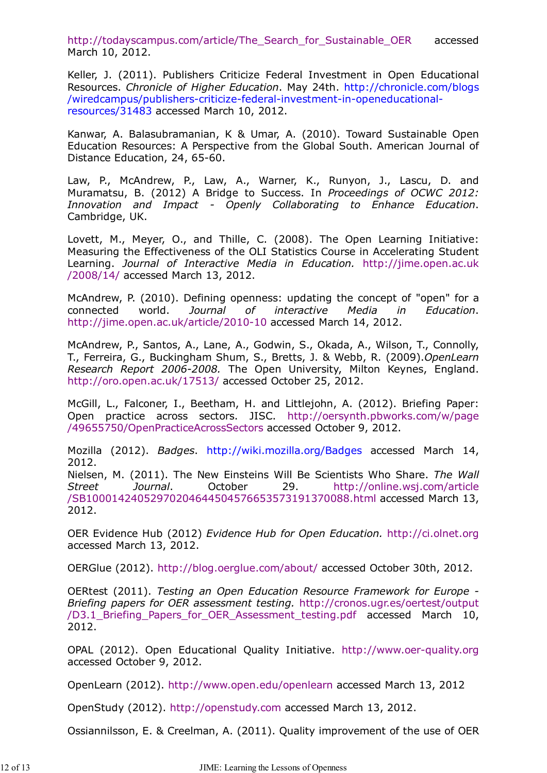http://todayscampus.com/article/The Search for Sustainable OER accessed March 10, 2012.

Keller, J. (2011). Publishers Criticize Federal Investment in Open Educational Resources. *Chronicle of Higher Education*. May 24th. http://chronicle.com/blogs /wiredcampus/publishers-criticize-federal-investment-in-openeducationalresources/31483 accessed March 10, 2012.

Kanwar, A. Balasubramanian, K & Umar, A. (2010). Toward Sustainable Open Education Resources: A Perspective from the Global South. American Journal of Distance Education, 24, 65-60.

Law, P., McAndrew, P., Law, A., Warner, K., Runyon, J., Lascu, D. and Muramatsu, B. (2012) A Bridge to Success. In *Proceedings of OCWC 2012: Innovation and Impact - Openly Collaborating to Enhance Education*. Cambridge, UK.

Lovett, M., Meyer, O., and Thille, C. (2008). The Open Learning Initiative: Measuring the Effectiveness of the OLI Statistics Course in Accelerating Student Learning. *Journal of Interactive Media in Education.* http://jime.open.ac.uk /2008/14/ accessed March 13, 2012.

McAndrew, P. (2010). Defining openness: updating the concept of "open" for a connected world. *Journal of interactive Media in Education*. http://jime.open.ac.uk/article/2010-10 accessed March 14, 2012.

McAndrew, P., Santos, A., Lane, A., Godwin, S., Okada, A., Wilson, T., Connolly, T., Ferreira, G., Buckingham Shum, S., Bretts, J. & Webb, R. (2009).*OpenLearn Research Report 2006-2008.* The Open University, Milton Keynes, England. http://oro.open.ac.uk/17513/ accessed October 25, 2012.

McGill, L., Falconer, I., Beetham, H. and Littlejohn, A. (2012). Briefing Paper: Open practice across sectors. JISC. http://oersynth.pbworks.com/w/page /49655750/OpenPracticeAcrossSectors accessed October 9, 2012.

Mozilla (2012). *Badges*. http://wiki.mozilla.org/Badges accessed March 14, 2012.

Nielsen, M. (2011). The New Einsteins Will Be Scientists Who Share. *The Wall Street Journal*. October 29. http://online.wsj.com/article /SB10001424052970204644504576653573191370088.html accessed March 13, 2012.

OER Evidence Hub (2012) *Evidence Hub for Open Education.* http://ci.olnet.org accessed March 13, 2012.

OERGlue (2012). http://blog.oerglue.com/about/ accessed October 30th, 2012.

OERtest (2011). *Testing an Open Education Resource Framework for Europe - Briefing papers for OER assessment testing.* http://cronos.ugr.es/oertest/output /D3.1\_Briefing\_Papers\_for\_OER\_Assessment\_testing.pdf accessed March 10, 2012.

OPAL (2012). Open Educational Quality Initiative. http://www.oer-quality.org accessed October 9, 2012.

OpenLearn (2012). http://www.open.edu/openlearn accessed March 13, 2012

OpenStudy (2012). http://openstudy.com accessed March 13, 2012.

Ossiannilsson, E. & Creelman, A. (2011). Quality improvement of the use of OER